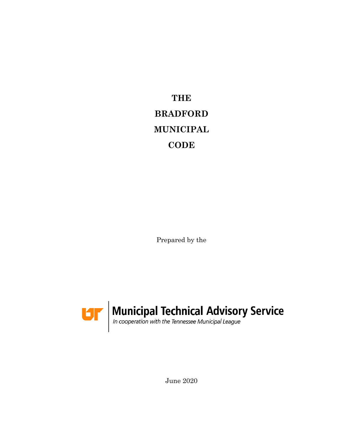**THE BRADFORD MUNICIPAL CODE**

Prepared by the



June 2020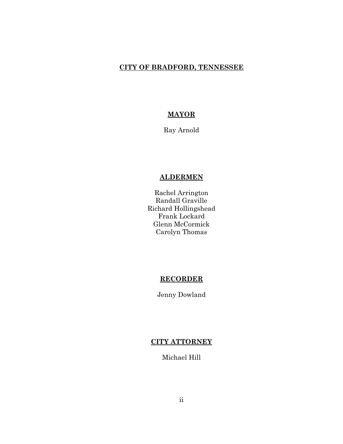### **CITY OF BRADFORD, TENNESSEE**

## **MAYOR**

Ray Arnold

## **ALDERMEN**

Rachel Arrington Randall Graville Richard Hollingshead Frank Lockard Glenn McCormick Carolyn Thomas

### **RECORDER**

Jenny Dowland

## **CITY ATTORNEY**

Michael Hill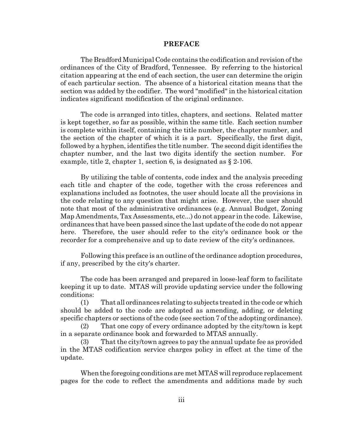#### **PREFACE**

The Bradford Municipal Code contains the codification and revision of the ordinances of the City of Bradford, Tennessee. By referring to the historical citation appearing at the end of each section, the user can determine the origin of each particular section. The absence of a historical citation means that the section was added by the codifier. The word "modified" in the historical citation indicates significant modification of the original ordinance.

The code is arranged into titles, chapters, and sections. Related matter is kept together, so far as possible, within the same title. Each section number is complete within itself, containing the title number, the chapter number, and the section of the chapter of which it is a part. Specifically, the first digit, followed by a hyphen, identifies the title number. The second digit identifies the chapter number, and the last two digits identify the section number. For example, title 2, chapter 1, section 6, is designated as § 2-106.

By utilizing the table of contents, code index and the analysis preceding each title and chapter of the code, together with the cross references and explanations included as footnotes, the user should locate all the provisions in the code relating to any question that might arise. However, the user should note that most of the administrative ordinances (e.g. Annual Budget, Zoning Map Amendments, Tax Assessments, etc...) do not appear in the code. Likewise, ordinances that have been passed since the last update of the code do not appear here. Therefore, the user should refer to the city's ordinance book or the recorder for a comprehensive and up to date review of the city's ordinances.

Following this preface is an outline of the ordinance adoption procedures, if any, prescribed by the city's charter.

The code has been arranged and prepared in loose-leaf form to facilitate keeping it up to date. MTAS will provide updating service under the following conditions:

(1) That all ordinances relating to subjects treated in the code or which should be added to the code are adopted as amending, adding, or deleting specific chapters or sections of the code (see section 7 of the adopting ordinance).

(2) That one copy of every ordinance adopted by the city/town is kept in a separate ordinance book and forwarded to MTAS annually.

(3) That the city/town agrees to pay the annual update fee as provided in the MTAS codification service charges policy in effect at the time of the update.

When the foregoing conditions are met MTAS will reproduce replacement pages for the code to reflect the amendments and additions made by such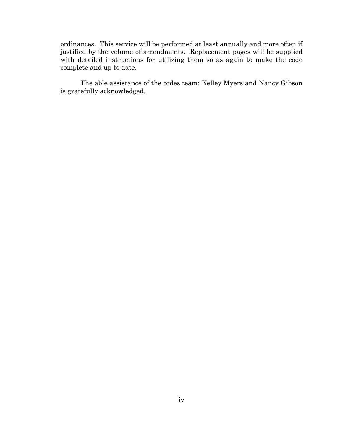ordinances. This service will be performed at least annually and more often if justified by the volume of amendments. Replacement pages will be supplied with detailed instructions for utilizing them so as again to make the code complete and up to date.

The able assistance of the codes team: Kelley Myers and Nancy Gibson is gratefully acknowledged.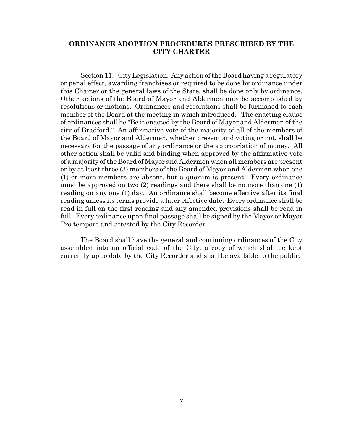### **ORDINANCE ADOPTION PROCEDURES PRESCRIBED BY THE CITY CHARTER**

Section 11. City Legislation. Any action of the Board having a regulatory or penal effect, awarding franchises or required to be done by ordinance under this Charter or the general laws of the State, shall be done only by ordinance. Other actions of the Board of Mayor and Aldermen may be accomplished by resolutions or motions. Ordinances and resolutions shall be furnished to each member of the Board at the meeting in which introduced. The enacting clause of ordinances shall be "Be it enacted by the Board of Mayor and Aldermen of the city of Bradford." An affirmative vote of the majority of all of the members of the Board of Mayor and Aldermen, whether present and voting or not, shall be necessary for the passage of any ordinance or the appropriation of money. All other action shall be valid and binding when approved by the affirmative vote of a majority of the Board of Mayor and Aldermen when all members are present or by at least three (3) members of the Board of Mayor and Aldermen when one (1) or more members are absent, but a quorum is present. Every ordinance must be approved on two (2) readings and there shall be no more than one (1) reading on any one (1) day. An ordinance shall become effective after its final reading unless its terms provide a later effective date. Every ordinance shall be read in full on the first reading and any amended provisions shall be read in full. Every ordinance upon final passage shall be signed by the Mayor or Mayor Pro tempore and attested by the City Recorder.

The Board shall have the general and continuing ordinances of the City assembled into an official code of the City, a copy of which shall be kept currently up to date by the City Recorder and shall be available to the public.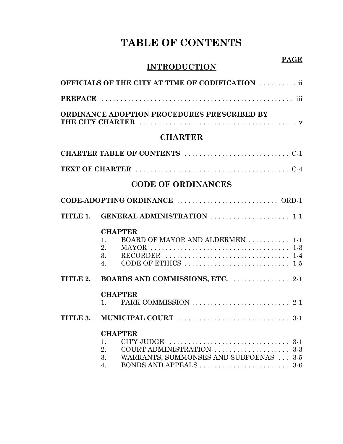# **TABLE OF CONTENTS**

## **PAGE**

# **INTRODUCTION**

|          | <b>OFFICIALS OF THE CITY AT TIME OF CODIFICATION</b> ii                                                                                                                                              |
|----------|------------------------------------------------------------------------------------------------------------------------------------------------------------------------------------------------------|
|          |                                                                                                                                                                                                      |
|          | ORDINANCE ADOPTION PROCEDURES PRESCRIBED BY                                                                                                                                                          |
|          | <b>CHARTER</b>                                                                                                                                                                                       |
|          |                                                                                                                                                                                                      |
|          |                                                                                                                                                                                                      |
|          | <b>CODE OF ORDINANCES</b>                                                                                                                                                                            |
|          |                                                                                                                                                                                                      |
|          | TITLE 1. GENERAL ADMINISTRATION  1-1                                                                                                                                                                 |
|          | <b>CHAPTER</b><br>BOARD OF MAYOR AND ALDERMEN  1-1<br>1.<br>2.<br><b>MAYOR</b><br>3.<br>4.                                                                                                           |
| TITLE 2. | BOARDS AND COMMISSIONS, ETC.  2-1                                                                                                                                                                    |
| TITLE 3. | <b>CHAPTER</b><br>$1 \quad \blacksquare$                                                                                                                                                             |
|          | <b>CHAPTER</b>                                                                                                                                                                                       |
|          | CITY JUDGE $\dots\dots\dots\dots\dots\dots\dots\dots\dots\dots\dots3-1$<br>1.<br>COURT ADMINISTRATION  3-3<br>2.<br>WARRANTS, SUMMONSES AND SUBPOENAS  3-5<br>3.<br>BONDS AND APPEALS<br>$3-6$<br>4. |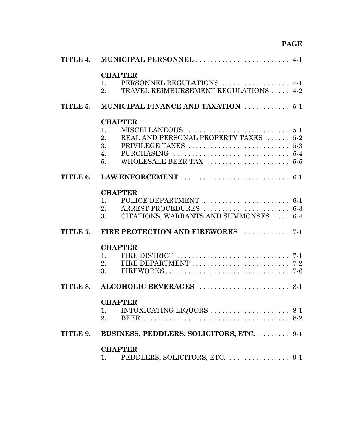# **PAGE**

| TITLE 4. |                                                                                                   |       |
|----------|---------------------------------------------------------------------------------------------------|-------|
|          | <b>CHAPTER</b><br>PERSONNEL REGULATIONS  4-1<br>1.<br>TRAVEL REIMBURSEMENT REGULATIONS  4-2<br>2. |       |
| TITLE 5. | MUNICIPAL FINANCE AND TAXATION  5-1                                                               |       |
|          | <b>CHAPTER</b>                                                                                    |       |
|          | 1.                                                                                                |       |
|          | REAL AND PERSONAL PROPERTY TAXES  5-2<br>2.                                                       |       |
|          | 3.                                                                                                |       |
|          | 4.                                                                                                |       |
|          | 5 <sub>1</sub>                                                                                    |       |
| TITLE 6. |                                                                                                   |       |
|          | <b>CHAPTER</b>                                                                                    |       |
|          | 1.                                                                                                |       |
|          | 2.                                                                                                |       |
|          | CITATIONS, WARRANTS AND SUMMONSES  6-4<br>3.                                                      |       |
| TITLE 7. | FIRE PROTECTION AND FIREWORKS  7-1                                                                |       |
|          | <b>CHAPTER</b>                                                                                    |       |
|          | 1.                                                                                                |       |
|          | 2.                                                                                                |       |
|          | 3.                                                                                                |       |
| TITLE 8. |                                                                                                   |       |
|          | <b>CHAPTER</b>                                                                                    |       |
|          | 1.                                                                                                |       |
|          | 2.                                                                                                | $8-2$ |
| TITLE 9. | BUSINESS, PEDDLERS, SOLICITORS, ETC.  9-1                                                         |       |
|          | <b>CHAPTER</b>                                                                                    |       |
|          | 1.                                                                                                |       |
|          |                                                                                                   |       |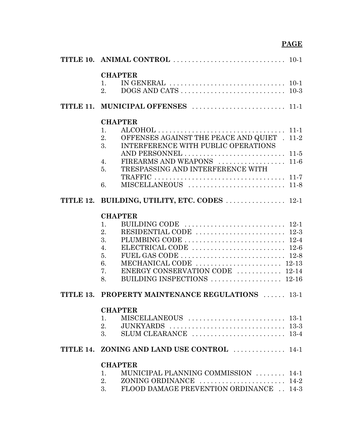# **PAGE**

| <b>CHAPTER</b>                                                                                                   |  |
|------------------------------------------------------------------------------------------------------------------|--|
| IN GENERAL $\ldots \ldots \ldots \ldots \ldots \ldots \ldots \ldots \ldots \ldots \ldots 10-1$<br>$\mathbf{1}$ . |  |
| 2.                                                                                                               |  |
|                                                                                                                  |  |
|                                                                                                                  |  |
| <b>CHAPTER</b>                                                                                                   |  |
| 1.                                                                                                               |  |
| OFFENSES AGAINST THE PEACE AND QUIET . 11-2<br>2.                                                                |  |
| INTERFERENCE WITH PUBLIC OPERATIONS<br>3.                                                                        |  |
|                                                                                                                  |  |
| 4.                                                                                                               |  |
| TRESPASSING AND INTERFERENCE WITH<br>5.                                                                          |  |
|                                                                                                                  |  |
| 6.                                                                                                               |  |
| TITLE 12. BUILDING, UTILITY, ETC. CODES  12-1                                                                    |  |
| <b>CHAPTER</b>                                                                                                   |  |
| 1.                                                                                                               |  |
|                                                                                                                  |  |
| 2.                                                                                                               |  |
| 3.                                                                                                               |  |
| ELECTRICAL CODE $\ldots \ldots \ldots \ldots \ldots \ldots \ldots \ldots 12.6$<br>4.                             |  |
| 5.                                                                                                               |  |
| 6.                                                                                                               |  |
| ENERGY CONSERVATION CODE  12-14<br>7.                                                                            |  |
| BUILDING INSPECTIONS  12-16<br>8.                                                                                |  |
| TITLE 13. PROPERTY MAINTENANCE REGULATIONS  13-1                                                                 |  |
| <b>CHAPTER</b>                                                                                                   |  |
| 1.                                                                                                               |  |
| 2.                                                                                                               |  |
| SLUM CLEARANCE $\ldots \ldots \ldots \ldots \ldots \ldots \ldots \ldots$ 13-4<br>3.                              |  |
| TITLE 14. ZONING AND LAND USE CONTROL  14-1                                                                      |  |
|                                                                                                                  |  |
| <b>CHAPTER</b><br>MUNICIPAL PLANNING COMMISSION  14-1<br>1.                                                      |  |
| 2.<br>ZONING ORDINANCE $\ldots \ldots \ldots \ldots \ldots \ldots \ldots 14-2$                                   |  |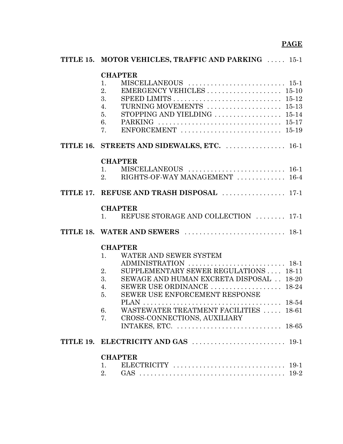| TITLE 15. MOTOR VEHICLES, TRAFFIC AND PARKING  15-1                                                                                                                                                                                     |
|-----------------------------------------------------------------------------------------------------------------------------------------------------------------------------------------------------------------------------------------|
| <b>CHAPTER</b><br>1.<br>EMERGENCY VEHICLES  15-10<br>2.<br>3.<br>TURNING MOVEMENTS  15-13<br>4.<br>STOPPING AND YIELDING  15-14<br>5.<br>6.<br>ENFORCEMENT $\ldots \ldots \ldots \ldots \ldots \ldots \ldots \ldots \ldots 15-19$<br>7. |
| TITLE 16. STREETS AND SIDEWALKS, ETC.  16-1                                                                                                                                                                                             |
| <b>CHAPTER</b><br>1.<br>RIGHTS-OF-WAY MANAGEMENT  16-4<br>2.                                                                                                                                                                            |
| TITLE 17. REFUSE AND TRASH DISPOSAL  17-1                                                                                                                                                                                               |
| <b>CHAPTER</b><br>REFUSE STORAGE AND COLLECTION  17-1<br>1.                                                                                                                                                                             |
|                                                                                                                                                                                                                                         |
| <b>CHAPTER</b>                                                                                                                                                                                                                          |
| WATER AND SEWER SYSTEM<br>1.<br>ADMINISTRATION  18-1<br>SUPPLEMENTARY SEWER REGULATIONS  18-11<br>2.<br>3.<br>SEWAGE AND HUMAN EXCRETA DISPOSAL  18-20                                                                                  |
| SEWER USE ORDINANCE  18-24<br>4.<br>SEWER USE ENFORCEMENT RESPONSE<br>5.                                                                                                                                                                |
| WASTEWATER TREATMENT FACILITIES  18-61<br>6.<br>7.<br>CROSS-CONNECTIONS, AUXILIARY                                                                                                                                                      |
| INTAKES, ETC. $\dots\dots\dots\dots\dots\dots\dots\dots\dots\dots$ 18-65                                                                                                                                                                |
|                                                                                                                                                                                                                                         |
| <b>CHAPTER</b>                                                                                                                                                                                                                          |
| ELECTRICITY $\ldots \ldots \ldots \ldots \ldots \ldots \ldots \ldots \ldots 19-1$<br>1.<br>2.                                                                                                                                           |